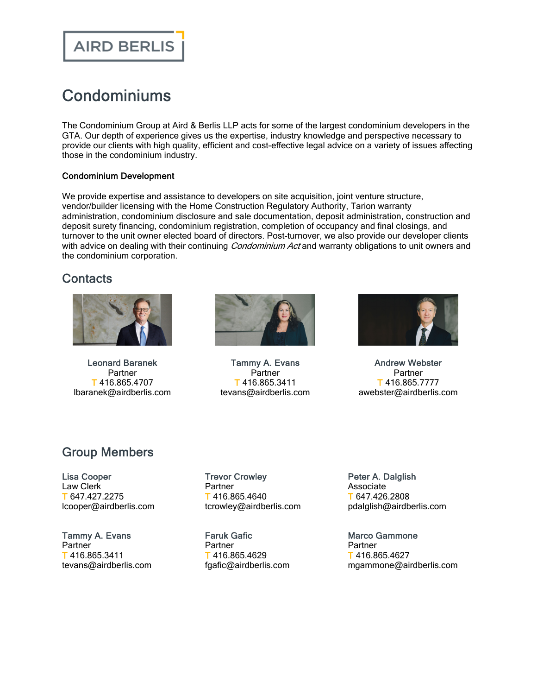## **AIRD BERLIS**

# **Condominiums**

The Condominium Group at Aird & Berlis LLP acts for some of the largest condominium developers in the GTA. Our depth of experience gives us the expertise, industry knowledge and perspective necessary to provide our clients with high quality, efficient and cost-effective legal advice on a variety of issues affecting those in the condominium industry.

#### Condominium Development

We provide expertise and assistance to developers on site acquisition, joint venture structure, vendor/builder licensing with the Home Construction Regulatory Authority, Tarion warranty administration, condominium disclosure and sale documentation, deposit administration, construction and deposit surety financing, condominium registration, completion of occupancy and final closings, and turnover to the unit owner elected board of directors. Post-turnover, we also provide our developer clients with advice on dealing with their continuing *Condominium Act* and warranty obligations to unit owners and the condominium corporation.

### **Contacts**



Leonard [Baranek](https://www.airdberlis.com/people/bio/leonard-baranek) **Partner** T 416.865.4707 lbaranek@airdberlis.com



[Tammy](https://www.airdberlis.com/people/bio/tammy-evans) A. Evans Partner T 416.865.3411 tevans@airdberlis.com



Andrew [Webster](https://www.airdberlis.com/people/bio/andrew-webster) **Partner** T 416.865.7777 awebster@airdberlis.com

### Group Members

Lisa [Cooper](https://www.airdberlis.com/people/bio/lisa-cooper) Law Clerk T 647.427.2275 lcooper@airdberlis.com

[Tammy](https://www.airdberlis.com/people/bio/tammy-evans) A. Evans Partner T 416.865.3411 tevans@airdberlis.com Trevor [Crowley](https://www.airdberlis.com/people/bio/trevor-crowley) **Partner** T 416.865.4640 tcrowley@airdberlis.com

[Faruk](https://www.airdberlis.com/people/bio/faruk-gafic) Gafic Partner T 416.865.4629 fgafic@airdberlis.com Peter A. [Dalglish](https://www.airdberlis.com/people/bio/peter-dalglish) Associate T 647.426.2808 pdalglish@airdberlis.com

Marco [Gammone](https://www.airdberlis.com/people/bio/marco-gammone) Partner T 416.865.4627 mgammone@airdberlis.com